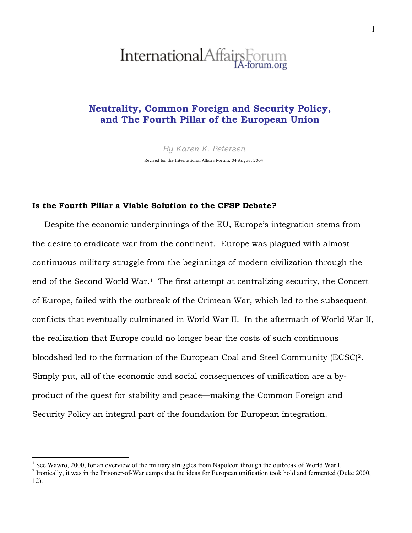# InternationalAffairsForum

# **Neutrality, Common Foreign and Security Policy, and The Fourth Pillar of the European Union**

*By Karen K. Petersen* Revised for the International Affairs Forum, 04 August 2004

#### **Is the Fourth Pillar a Viable Solution to the CFSP Debate?**

Despite the economic underpinnings of the EU, Europe's integration stems from the desire to eradicate war from the continent. Europe was plagued with almost continuous military struggle from the beginnings of modern civilization through the end of the Second World War.<sup>1</sup> The first attempt at centralizing security, the Concert of Europe, failed with the outbreak of the Crimean War, which led to the subsequent conflicts that eventually culminated in World War II. In the aftermath of World War II, the realization that Europe could no longer bear the costs of such continuous bloodshed led to the formation of the European Coal and Steel Community (ECSC)[2.](#page-0-1) Simply put, all of the economic and social consequences of unification are a byproduct of the quest for stability and peace—making the Common Foreign and Security Policy an integral part of the foundation for European integration.

1

<span id="page-0-0"></span><sup>&</sup>lt;sup>1</sup> See Wawro, 2000, for an overview of the military struggles from Napoleon through the outbreak of World War I.<br><sup>2</sup> Ironically, it was in the Pricence of War camps that the ideas for European unification took held and f

<span id="page-0-1"></span> $2$  Ironically, it was in the Prisoner-of-War camps that the ideas for European unification took hold and fermented (Duke 2000, 12).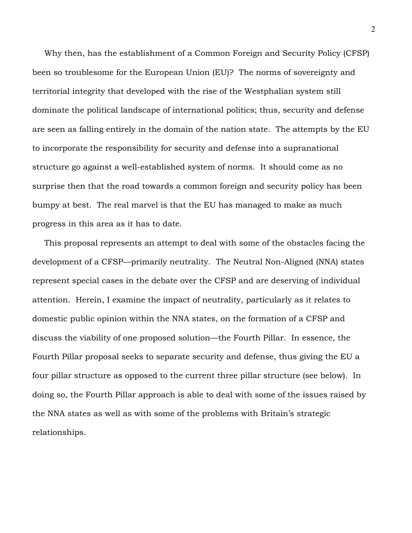Why then, has the establishment of a Common Foreign and Security Policy (CFSP) been so troublesome for the European Union (EU)? The norms of sovereignty and territorial integrity that developed with the rise of the Westphalian system still dominate the political landscape of international politics; thus, security and defense are seen as falling entirely in the domain of the nation state. The attempts by the EU to incorporate the responsibility for security and defense into a supranational structure go against a well-established system of norms. It should come as no surprise then that the road towards a common foreign and security policy has been bumpy at best. The real marvel is that the EU has managed to make as much progress in this area as it has to date.

This proposal represents an attempt to deal with some of the obstacles facing the development of a CFSP—primarily neutrality. The Neutral Non-Aligned (NNA) states represent special cases in the debate over the CFSP and are deserving of individual attention. Herein, I examine the impact of neutrality, particularly as it relates to domestic public opinion within the NNA states, on the formation of a CFSP and discuss the viability of one proposed solution—the Fourth Pillar. In essence, the Fourth Pillar proposal seeks to separate security and defense, thus giving the EU a four pillar structure as opposed to the current three pillar structure (see below). In doing so, the Fourth Pillar approach is able to deal with some of the issues raised by the NNA states as well as with some of the problems with Britain's strategic relationships.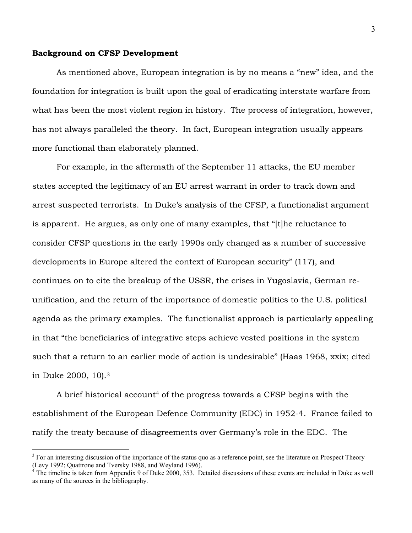#### **Background on CFSP Development**

<u>.</u>

 As mentioned above, European integration is by no means a "new" idea, and the foundation for integration is built upon the goal of eradicating interstate warfare from what has been the most violent region in history. The process of integration, however, has not always paralleled the theory. In fact, European integration usually appears more functional than elaborately planned.

For example, in the aftermath of the September 11 attacks, the EU member states accepted the legitimacy of an EU arrest warrant in order to track down and arrest suspected terrorists. In Duke's analysis of the CFSP, a functionalist argument is apparent. He argues, as only one of many examples, that "[t]he reluctance to consider CFSP questions in the early 1990s only changed as a number of successive developments in Europe altered the context of European security" (117), and continues on to cite the breakup of the USSR, the crises in Yugoslavia, German reunification, and the return of the importance of domestic politics to the U.S. political agenda as the primary examples. The functionalist approach is particularly appealing in that "the beneficiaries of integrative steps achieve vested positions in the system such that a return to an earlier mode of action is undesirable" (Haas 1968, xxix; cited in Duke 2000, 10)[.3](#page-2-0)

A brief historical account<sup>4</sup> of the progress towards a CFSP begins with the establishment of the European Defence Community (EDC) in 1952-4. France failed to ratify the treaty because of disagreements over Germany's role in the EDC. The

<span id="page-2-0"></span> $3$  For an interesting discussion of the importance of the status quo as a reference point, see the literature on Prospect Theory (Levy 1992; Quattrone and Tversky 1988, and Weyland 1996).

<span id="page-2-1"></span> $4$  The timeline is taken from Appendix 9 of Duke 2000, 353. Detailed discussions of these events are included in Duke as well as many of the sources in the bibliography.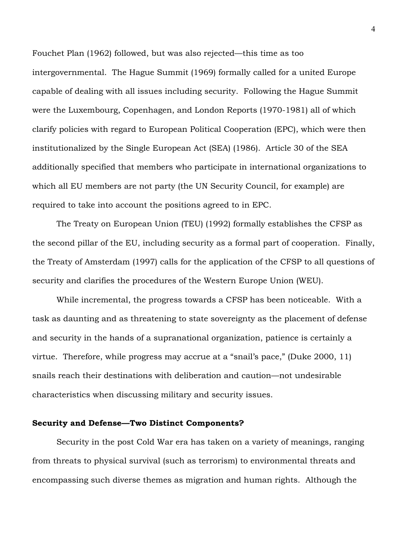Fouchet Plan (1962) followed, but was also rejected—this time as too intergovernmental. The Hague Summit (1969) formally called for a united Europe capable of dealing with all issues including security. Following the Hague Summit were the Luxembourg, Copenhagen, and London Reports (1970-1981) all of which clarify policies with regard to European Political Cooperation (EPC), which were then institutionalized by the Single European Act (SEA) (1986). Article 30 of the SEA additionally specified that members who participate in international organizations to which all EU members are not party (the UN Security Council, for example) are required to take into account the positions agreed to in EPC.

The Treaty on European Union (TEU) (1992) formally establishes the CFSP as the second pillar of the EU, including security as a formal part of cooperation. Finally, the Treaty of Amsterdam (1997) calls for the application of the CFSP to all questions of security and clarifies the procedures of the Western Europe Union (WEU).

While incremental, the progress towards a CFSP has been noticeable. With a task as daunting and as threatening to state sovereignty as the placement of defense and security in the hands of a supranational organization, patience is certainly a virtue. Therefore, while progress may accrue at a "snail's pace," (Duke 2000, 11) snails reach their destinations with deliberation and caution—not undesirable characteristics when discussing military and security issues.

#### **Security and Defense—Two Distinct Components?**

 Security in the post Cold War era has taken on a variety of meanings, ranging from threats to physical survival (such as terrorism) to environmental threats and encompassing such diverse themes as migration and human rights. Although the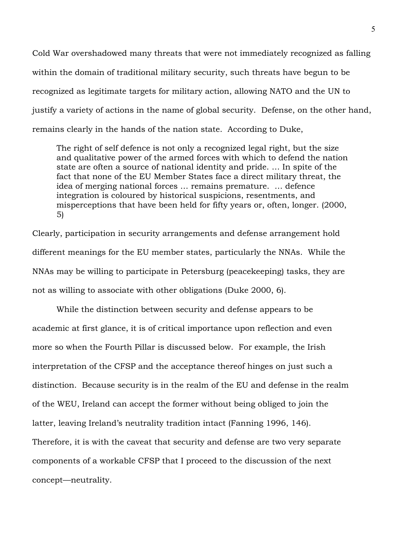Cold War overshadowed many threats that were not immediately recognized as falling within the domain of traditional military security, such threats have begun to be recognized as legitimate targets for military action, allowing NATO and the UN to justify a variety of actions in the name of global security. Defense, on the other hand, remains clearly in the hands of the nation state. According to Duke,

The right of self defence is not only a recognized legal right, but the size and qualitative power of the armed forces with which to defend the nation state are often a source of national identity and pride. … In spite of the fact that none of the EU Member States face a direct military threat, the idea of merging national forces … remains premature. … defence integration is coloured by historical suspicions, resentments, and misperceptions that have been held for fifty years or, often, longer. (2000, 5)

Clearly, participation in security arrangements and defense arrangement hold different meanings for the EU member states, particularly the NNAs. While the NNAs may be willing to participate in Petersburg (peacekeeping) tasks, they are not as willing to associate with other obligations (Duke 2000, 6).

While the distinction between security and defense appears to be academic at first glance, it is of critical importance upon reflection and even more so when the Fourth Pillar is discussed below. For example, the Irish interpretation of the CFSP and the acceptance thereof hinges on just such a distinction. Because security is in the realm of the EU and defense in the realm of the WEU, Ireland can accept the former without being obliged to join the latter, leaving Ireland's neutrality tradition intact (Fanning 1996, 146). Therefore, it is with the caveat that security and defense are two very separate components of a workable CFSP that I proceed to the discussion of the next concept—neutrality.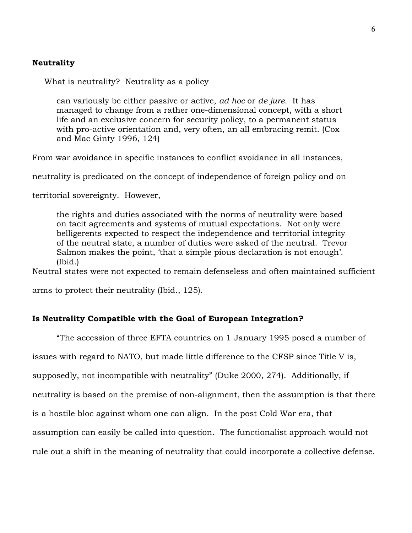## **Neutrality**

What is neutrality? Neutrality as a policy

can variously be either passive or active, *ad hoc* or *de jure*. It has managed to change from a rather one-dimensional concept, with a short life and an exclusive concern for security policy, to a permanent status with pro-active orientation and, very often, an all embracing remit. (Cox and Mac Ginty 1996, 124)

From war avoidance in specific instances to conflict avoidance in all instances,

neutrality is predicated on the concept of independence of foreign policy and on

territorial sovereignty. However,

the rights and duties associated with the norms of neutrality were based on tacit agreements and systems of mutual expectations. Not only were belligerents expected to respect the independence and territorial integrity of the neutral state, a number of duties were asked of the neutral. Trevor Salmon makes the point, 'that a simple pious declaration is not enough'. (Ibid.)

Neutral states were not expected to remain defenseless and often maintained sufficient

arms to protect their neutrality (Ibid., 125).

# **Is Neutrality Compatible with the Goal of European Integration?**

"The accession of three EFTA countries on 1 January 1995 posed a number of

issues with regard to NATO, but made little difference to the CFSP since Title V is,

supposedly, not incompatible with neutrality" (Duke 2000, 274). Additionally, if

neutrality is based on the premise of non-alignment, then the assumption is that there

is a hostile bloc against whom one can align. In the post Cold War era, that

assumption can easily be called into question. The functionalist approach would not

rule out a shift in the meaning of neutrality that could incorporate a collective defense.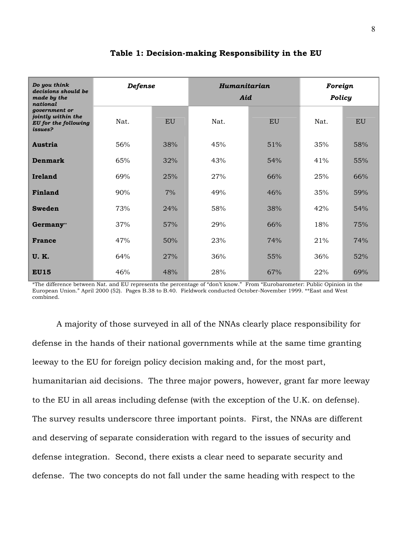| Do you think<br>decisions should be<br>made by the<br>national<br>government or<br>jointly within the<br>EU for the following<br><i>issues?</i> | <b>Defense</b> |           | Humanitarian<br>Aid |     | Foreign<br><b>Policy</b> |           |
|-------------------------------------------------------------------------------------------------------------------------------------------------|----------------|-----------|---------------------|-----|--------------------------|-----------|
|                                                                                                                                                 | Nat.           | <b>EU</b> | Nat.                | EU  | Nat.                     | <b>EU</b> |
| <b>Austria</b>                                                                                                                                  | 56%            | 38%       | 45%                 | 51% | 35%                      | 58%       |
| <b>Denmark</b>                                                                                                                                  | 65%            | 32%       | 43%                 | 54% | 41%                      | 55%       |
| Ireland                                                                                                                                         | 69%            | 25%       | 27%                 | 66% | 25%                      | 66%       |
| Finland                                                                                                                                         | 90%            | 7%        | 49%                 | 46% | 35%                      | 59%       |
| <b>Sweden</b>                                                                                                                                   | 73%            | 24%       | 58%                 | 38% | 42%                      | 54%       |
| Germany**                                                                                                                                       | 37%            | 57%       | 29%                 | 66% | 18%                      | 75%       |
| <b>France</b>                                                                                                                                   | 47%            | 50%       | 23%                 | 74% | 21%                      | 74%       |
| <b>U.K.</b>                                                                                                                                     | 64%            | 27%       | 36%                 | 55% | 36%                      | 52%       |
| <b>EU15</b>                                                                                                                                     | 46%            | 48%       | 28%                 | 67% | 22%                      | 69%       |

**Table 1: Decision-making Responsibility in the EU** 

\*The difference between Nat. and EU represents the percentage of "don't know." From "Eurobarometer: Public Opinion in the European Union." April 2000 (52). Pages B.38 to B.40. Fieldwork conducted October-November 1999. \*\*East and West combined.

A majority of those surveyed in all of the NNAs clearly place responsibility for defense in the hands of their national governments while at the same time granting leeway to the EU for foreign policy decision making and, for the most part, humanitarian aid decisions. The three major powers, however, grant far more leeway to the EU in all areas including defense (with the exception of the U.K. on defense). The survey results underscore three important points. First, the NNAs are different and deserving of separate consideration with regard to the issues of security and defense integration. Second, there exists a clear need to separate security and defense. The two concepts do not fall under the same heading with respect to the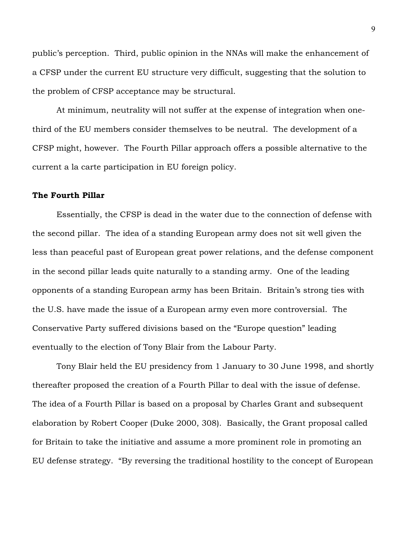public's perception. Third, public opinion in the NNAs will make the enhancement of a CFSP under the current EU structure very difficult, suggesting that the solution to the problem of CFSP acceptance may be structural.

At minimum, neutrality will not suffer at the expense of integration when onethird of the EU members consider themselves to be neutral. The development of a CFSP might, however. The Fourth Pillar approach offers a possible alternative to the current a la carte participation in EU foreign policy.

#### **The Fourth Pillar**

Essentially, the CFSP is dead in the water due to the connection of defense with the second pillar. The idea of a standing European army does not sit well given the less than peaceful past of European great power relations, and the defense component in the second pillar leads quite naturally to a standing army. One of the leading opponents of a standing European army has been Britain. Britain's strong ties with the U.S. have made the issue of a European army even more controversial. The Conservative Party suffered divisions based on the "Europe question" leading eventually to the election of Tony Blair from the Labour Party.

Tony Blair held the EU presidency from 1 January to 30 June 1998, and shortly thereafter proposed the creation of a Fourth Pillar to deal with the issue of defense. The idea of a Fourth Pillar is based on a proposal by Charles Grant and subsequent elaboration by Robert Cooper (Duke 2000, 308). Basically, the Grant proposal called for Britain to take the initiative and assume a more prominent role in promoting an EU defense strategy. "By reversing the traditional hostility to the concept of European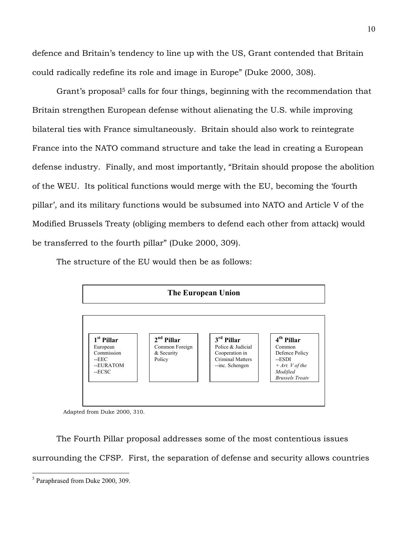defence and Britain's tendency to line up with the US, Grant contended that Britain could radically redefine its role and image in Europe" (Duke 2000, 308).

Grant's proposal<sup>5</sup> calls for four things, beginning with the recommendation that Britain strengthen European defense without alienating the U.S. while improving bilateral ties with France simultaneously. Britain should also work to reintegrate France into the NATO command structure and take the lead in creating a European defense industry. Finally, and most importantly, "Britain should propose the abolition of the WEU. Its political functions would merge with the EU, becoming the 'fourth pillar', and its military functions would be subsumed into NATO and Article V of the Modified Brussels Treaty (obliging members to defend each other from attack) would be transferred to the fourth pillar" (Duke 2000, 309).

The structure of the EU would then be as follows:



Adapted from Duke 2000, 310.

The Fourth Pillar proposal addresses some of the most contentious issues surrounding the CFSP. First, the separation of defense and security allows countries

 $\overline{a}$ 

<span id="page-9-0"></span><sup>&</sup>lt;sup>5</sup> Paraphrased from Duke 2000, 309.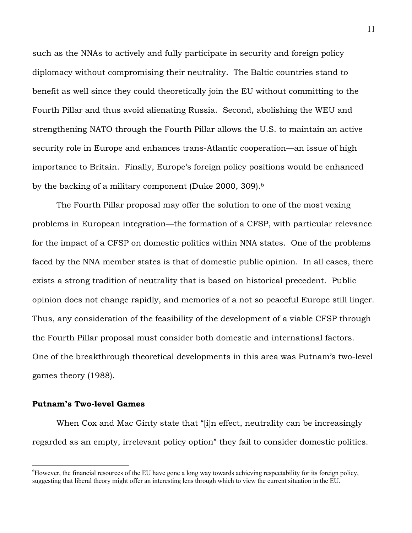such as the NNAs to actively and fully participate in security and foreign policy diplomacy without compromising their neutrality. The Baltic countries stand to benefit as well since they could theoretically join the EU without committing to the Fourth Pillar and thus avoid alienating Russia. Second, abolishing the WEU and strengthening NATO through the Fourth Pillar allows the U.S. to maintain an active security role in Europe and enhances trans-Atlantic cooperation—an issue of high importance to Britain. Finally, Europe's foreign policy positions would be enhanced by the backing of a military component (Duke 2000, 309).[6](#page-10-0)

 The Fourth Pillar proposal may offer the solution to one of the most vexing problems in European integration—the formation of a CFSP, with particular relevance for the impact of a CFSP on domestic politics within NNA states. One of the problems faced by the NNA member states is that of domestic public opinion. In all cases, there exists a strong tradition of neutrality that is based on historical precedent. Public opinion does not change rapidly, and memories of a not so peaceful Europe still linger. Thus, any consideration of the feasibility of the development of a viable CFSP through the Fourth Pillar proposal must consider both domestic and international factors. One of the breakthrough theoretical developments in this area was Putnam's two-level games theory (1988).

# **Putnam's Two-level Games**

 $\overline{a}$ 

When Cox and Mac Ginty state that "[i]n effect, neutrality can be increasingly regarded as an empty, irrelevant policy option" they fail to consider domestic politics.

<span id="page-10-0"></span><sup>6</sup> However, the financial resources of the EU have gone a long way towards achieving respectability for its foreign policy, suggesting that liberal theory might offer an interesting lens through which to view the current situation in the EU.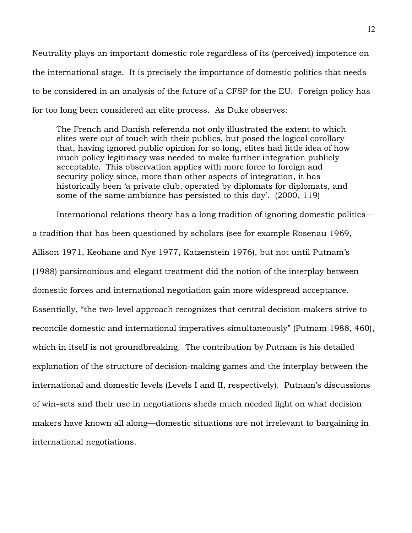Neutrality plays an important domestic role regardless of its (perceived) impotence on the international stage. It is precisely the importance of domestic politics that needs to be considered in an analysis of the future of a CFSP for the EU. Foreign policy has for too long been considered an elite process. As Duke observes:

The French and Danish referenda not only illustrated the extent to which elites were out of touch with their publics, but posed the logical corollary that, having ignored public opinion for so long, elites had little idea of how much policy legitimacy was needed to make further integration publicly acceptable. This observation applies with more force to foreign and security policy since, more than other aspects of integration, it has historically been 'a private club, operated by diplomats for diplomats, and some of the same ambiance has persisted to this day'. (2000, 119)

International relations theory has a long tradition of ignoring domestic politics a tradition that has been questioned by scholars (see for example Rosenau 1969, Allison 1971, Keohane and Nye 1977, Katzenstein 1976), but not until Putnam's (1988) parsimonious and elegant treatment did the notion of the interplay between domestic forces and international negotiation gain more widespread acceptance. Essentially, "the two-level approach recognizes that central decision-makers strive to reconcile domestic and international imperatives simultaneously" (Putnam 1988, 460), which in itself is not groundbreaking. The contribution by Putnam is his detailed explanation of the structure of decision-making games and the interplay between the international and domestic levels (Levels I and II, respectively). Putnam's discussions of win-sets and their use in negotiations sheds much needed light on what decision makers have known all along—domestic situations are not irrelevant to bargaining in international negotiations.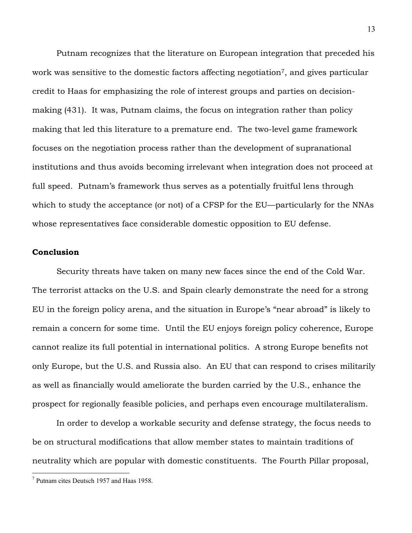Putnam recognizes that the literature on European integration that preceded his work was sensitive to the domestic factors affecting negotiation<sup>7</sup>, and gives particular credit to Haas for emphasizing the role of interest groups and parties on decisionmaking (431). It was, Putnam claims, the focus on integration rather than policy making that led this literature to a premature end. The two-level game framework focuses on the negotiation process rather than the development of supranational institutions and thus avoids becoming irrelevant when integration does not proceed at full speed. Putnam's framework thus serves as a potentially fruitful lens through which to study the acceptance (or not) of a CFSP for the EU—particularly for the NNAs whose representatives face considerable domestic opposition to EU defense.

#### **Conclusion**

 Security threats have taken on many new faces since the end of the Cold War. The terrorist attacks on the U.S. and Spain clearly demonstrate the need for a strong EU in the foreign policy arena, and the situation in Europe's "near abroad" is likely to remain a concern for some time. Until the EU enjoys foreign policy coherence, Europe cannot realize its full potential in international politics. A strong Europe benefits not only Europe, but the U.S. and Russia also. An EU that can respond to crises militarily as well as financially would ameliorate the burden carried by the U.S., enhance the prospect for regionally feasible policies, and perhaps even encourage multilateralism.

In order to develop a workable security and defense strategy, the focus needs to be on structural modifications that allow member states to maintain traditions of neutrality which are popular with domestic constituents. The Fourth Pillar proposal,

 $\overline{a}$ 

<span id="page-12-0"></span><sup>7</sup> Putnam cites Deutsch 1957 and Haas 1958.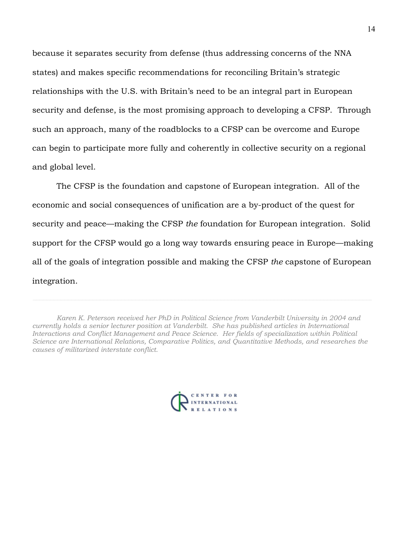because it separates security from defense (thus addressing concerns of the NNA states) and makes specific recommendations for reconciling Britain's strategic relationships with the U.S. with Britain's need to be an integral part in European security and defense, is the most promising approach to developing a CFSP. Through such an approach, many of the roadblocks to a CFSP can be overcome and Europe can begin to participate more fully and coherently in collective security on a regional and global level.

The CFSP is the foundation and capstone of European integration. All of the economic and social consequences of unification are a by-product of the quest for security and peace—making the CFSP *the* foundation for European integration. Solid support for the CFSP would go a long way towards ensuring peace in Europe—making all of the goals of integration possible and making the CFSP *the* capstone of European integration.



*Karen K. Peterson received her PhD in Political Science from Vanderbilt University in 2004 and currently holds a senior lecturer position at Vanderbilt. She has published articles in International Interactions and Conflict Management and Peace Science. Her fields of specialization within Political Science are International Relations, Comparative Politics, and Quantitative Methods, and researches the causes of militarized interstate conflict.*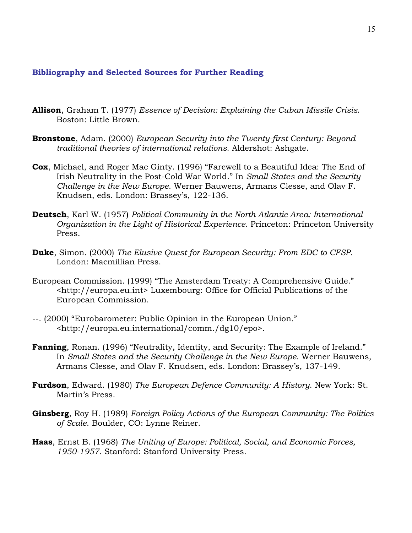# **Bibliography and Selected Sources for Further Reading**

- **Allison**, Graham T. (1977) *Essence of Decision: Explaining the Cuban Missile Crisis*. Boston: Little Brown.
- **Bronstone**, Adam. (2000) *European Security into the Twenty-first Century: Beyond traditional theories of international relations*. Aldershot: Ashgate.
- **Cox**, Michael, and Roger Mac Ginty. (1996) "Farewell to a Beautiful Idea: The End of Irish Neutrality in the Post-Cold War World." In *Small States and the Security Challenge in the New Europe*. Werner Bauwens, Armans Clesse, and Olav F. Knudsen, eds. London: Brassey's, 122-136.
- **Deutsch**, Karl W. (1957) *Political Community in the North Atlantic Area: International Organization in the Light of Historical Experience*. Princeton: Princeton University Press.
- **Duke**, Simon. (2000) *The Elusive Quest for European Security: From EDC to CFSP*. London: Macmillian Press.
- European Commission. (1999) "The Amsterdam Treaty: A Comprehensive Guide." <http://europa.eu.int> Luxembourg: Office for Official Publications of the European Commission.
- --. (2000) "Eurobarometer: Public Opinion in the European Union." <http://europa.eu.international/comm./dg10/epo>.
- **Fanning**, Ronan. (1996) "Neutrality, Identity, and Security: The Example of Ireland." In *Small States and the Security Challenge in the New Europe*. Werner Bauwens, Armans Clesse, and Olav F. Knudsen, eds. London: Brassey's, 137-149.
- **Furdson**, Edward. (1980) *The European Defence Community: A History*. New York: St. Martin's Press.
- **Ginsberg**, Roy H. (1989) *Foreign Policy Actions of the European Community: The Politics of Scale*. Boulder, CO: Lynne Reiner.
- **Haas**, Ernst B. (1968) *The Uniting of Europe: Political, Social, and Economic Forces, 1950-1957*. Stanford: Stanford University Press.